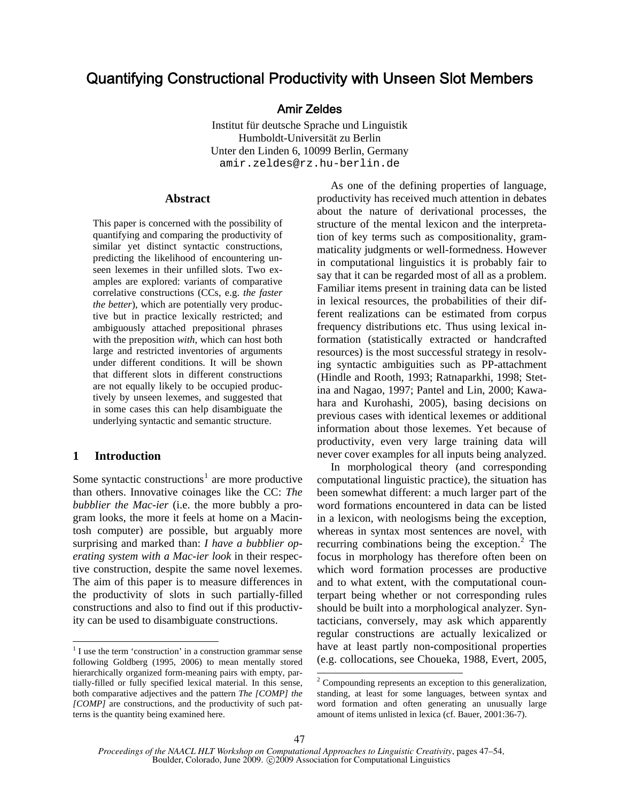# Quantifying Constructional Productivity with Unseen Slot Members

## Amir Zeldes

Institut für deutsche Sprache und Linguistik Humboldt-Universität zu Berlin Unter den Linden 6, 10099 Berlin, Germany amir.zeldes@rz.hu-berlin.de

#### **Abstract**

This paper is concerned with the possibility of quantifying and comparing the productivity of similar yet distinct syntactic constructions, predicting the likelihood of encountering unseen lexemes in their unfilled slots. Two examples are explored: variants of comparative correlative constructions (CCs, e.g. *the faster the better*), which are potentially very productive but in practice lexically restricted; and ambiguously attached prepositional phrases with the preposition *with*, which can host both large and restricted inventories of arguments under different conditions. It will be shown that different slots in different constructions are not equally likely to be occupied productively by unseen lexemes, and suggested that in some cases this can help disambiguate the underlying syntactic and semantic structure.

## **1 Introduction**

 $\overline{a}$ 

Some syntactic constructions<sup>1</sup> are more productive than others. Innovative coinages like the CC: *The bubblier the Mac-ier* (i.e. the more bubbly a program looks, the more it feels at home on a Macintosh computer) are possible, but arguably more surprising and marked than: *I have a bubblier operating system with a Mac-ier look* in their respective construction, despite the same novel lexemes. The aim of this paper is to measure differences in the productivity of slots in such partially-filled constructions and also to find out if this productivity can be used to disambiguate constructions.

As one of the defining properties of language, productivity has received much attention in debates about the nature of derivational processes, the structure of the mental lexicon and the interpretation of key terms such as compositionality, grammaticality judgments or well-formedness. However in computational linguistics it is probably fair to say that it can be regarded most of all as a problem. Familiar items present in training data can be listed in lexical resources, the probabilities of their different realizations can be estimated from corpus frequency distributions etc. Thus using lexical information (statistically extracted or handcrafted resources) is the most successful strategy in resolving syntactic ambiguities such as PP-attachment (Hindle and Rooth, 1993; Ratnaparkhi, 1998; Stetina and Nagao, 1997; Pantel and Lin, 2000; Kawahara and Kurohashi, 2005), basing decisions on previous cases with identical lexemes or additional information about those lexemes. Yet because of productivity, even very large training data will never cover examples for all inputs being analyzed.

In morphological theory (and corresponding computational linguistic practice), the situation has been somewhat different: a much larger part of the word formations encountered in data can be listed in a lexicon, with neologisms being the exception, whereas in syntax most sentences are novel, with recurring combinations being the exception. $2$  The focus in morphology has therefore often been on which word formation processes are productive and to what extent, with the computational counterpart being whether or not corresponding rules should be built into a morphological analyzer. Syntacticians, conversely, may ask which apparently regular constructions are actually lexicalized or have at least partly non-compositional properties (e.g. collocations, see Choueka, 1988, Evert, 2005,

 $\overline{a}$ 

 $<sup>1</sup>$  I use the term 'construction' in a construction grammar sense</sup> following Goldberg (1995, 2006) to mean mentally stored hierarchically organized form-meaning pairs with empty, partially-filled or fully specified lexical material. In this sense, both comparative adjectives and the pattern *The [COMP] the [COMP]* are constructions, and the productivity of such patterns is the quantity being examined here.

 $2^2$  Compounding represents an exception to this generalization, standing, at least for some languages, between syntax and word formation and often generating an unusually large amount of items unlisted in lexica (cf. Bauer, 2001:36-7).

*Proceedings of the NAACL HLT Workshop on Computational Approaches to Linguistic Creativity*, pages 47–54, Boulder, Colorado, June 2009. C 2009 Association for Computational Linguistics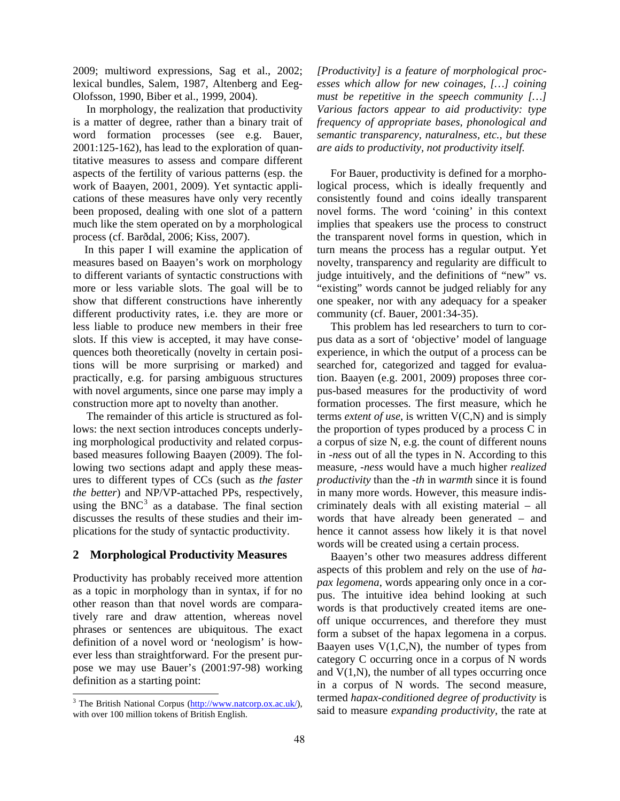2009; multiword expressions, Sag et al., 2002; lexical bundles, Salem, 1987, Altenberg and Eeg-Olofsson, 1990, Biber et al., 1999, 2004).

In morphology, the realization that productivity is a matter of degree, rather than a binary trait of word formation processes (see e.g. Bauer, 2001:125-162), has lead to the exploration of quantitative measures to assess and compare different aspects of the fertility of various patterns (esp. the work of Baayen, 2001, 2009). Yet syntactic applications of these measures have only very recently been proposed, dealing with one slot of a pattern much like the stem operated on by a morphological process (cf. Barðdal, 2006; Kiss, 2007).

In this paper I will examine the application of measures based on Baayen's work on morphology to different variants of syntactic constructions with more or less variable slots. The goal will be to show that different constructions have inherently different productivity rates, i.e. they are more or less liable to produce new members in their free slots. If this view is accepted, it may have consequences both theoretically (novelty in certain positions will be more surprising or marked) and practically, e.g. for parsing ambiguous structures with novel arguments, since one parse may imply a construction more apt to novelty than another.

The remainder of this article is structured as follows: the next section introduces concepts underlying morphological productivity and related corpusbased measures following Baayen (2009). The following two sections adapt and apply these measures to different types of CCs (such as *the faster the better*) and NP/VP-attached PPs, respectively, using the BNC $3$  as a database. The final section discusses the results of these studies and their implications for the study of syntactic productivity.

## **2 Morphological Productivity Measures**

Productivity has probably received more attention as a topic in morphology than in syntax, if for no other reason than that novel words are comparatively rare and draw attention, whereas novel phrases or sentences are ubiquitous. The exact definition of a novel word or 'neologism' is however less than straightforward. For the present purpose we may use Bauer's (2001:97-98) working definition as a starting point:

 $\overline{a}$ 

*[Productivity] is a feature of morphological processes which allow for new coinages, […] coining must be repetitive in the speech community […] Various factors appear to aid productivity: type frequency of appropriate bases, phonological and semantic transparency, naturalness, etc., but these are aids to productivity, not productivity itself.* 

For Bauer, productivity is defined for a morphological process, which is ideally frequently and consistently found and coins ideally transparent novel forms. The word 'coining' in this context implies that speakers use the process to construct the transparent novel forms in question, which in turn means the process has a regular output. Yet novelty, transparency and regularity are difficult to judge intuitively, and the definitions of "new" vs. "existing" words cannot be judged reliably for any one speaker, nor with any adequacy for a speaker community (cf. Bauer, 2001:34-35).

This problem has led researchers to turn to corpus data as a sort of 'objective' model of language experience, in which the output of a process can be searched for, categorized and tagged for evaluation. Baayen (e.g. 2001, 2009) proposes three corpus-based measures for the productivity of word formation processes. The first measure, which he terms *extent of use*, is written V(C,N) and is simply the proportion of types produced by a process C in a corpus of size N, e.g. the count of different nouns in *-ness* out of all the types in N. According to this measure, *-ness* would have a much higher *realized productivity* than the *-th* in *warmth* since it is found in many more words. However, this measure indiscriminately deals with all existing material – all words that have already been generated – and hence it cannot assess how likely it is that novel words will be created using a certain process.

Baayen's other two measures address different aspects of this problem and rely on the use of *hapax legomena*, words appearing only once in a corpus. The intuitive idea behind looking at such words is that productively created items are oneoff unique occurrences, and therefore they must form a subset of the hapax legomena in a corpus. Baayen uses  $V(1, C, N)$ , the number of types from category C occurring once in a corpus of N words and  $V(1,N)$ , the number of all types occurring once in a corpus of N words. The second measure, termed *hapax-conditioned degree of productivity* is said to measure *expanding productivity*, the rate at

<sup>&</sup>lt;sup>3</sup> The British National Corpus (http://www.natcorp.ox.ac.uk/), with over 100 million tokens of British English.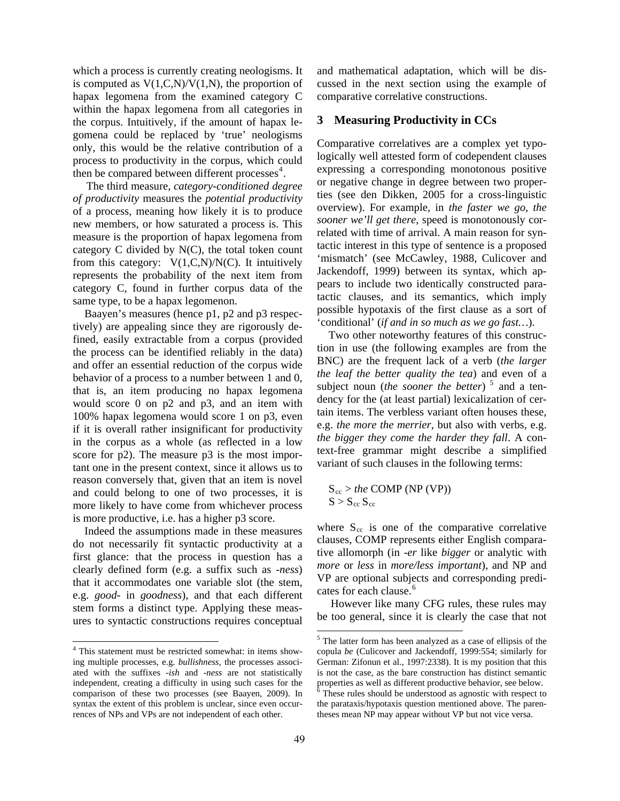which a process is currently creating neologisms. It is computed as  $V(1,C,N)/V(1,N)$ , the proportion of hapax legomena from the examined category C within the hapax legomena from all categories in the corpus. Intuitively, if the amount of hapax legomena could be replaced by 'true' neologisms only, this would be the relative contribution of a process to productivity in the corpus, which could then be compared between different processes $4$ .

The third measure, *category-conditioned degree of productivity* measures the *potential productivity* of a process, meaning how likely it is to produce new members, or how saturated a process is. This measure is the proportion of hapax legomena from category C divided by N(C), the total token count from this category:  $V(1,C,N)/N(C)$ . It intuitively represents the probability of the next item from category C, found in further corpus data of the same type, to be a hapax legomenon.

Baayen's measures (hence p1, p2 and p3 respectively) are appealing since they are rigorously defined, easily extractable from a corpus (provided the process can be identified reliably in the data) and offer an essential reduction of the corpus wide behavior of a process to a number between 1 and 0, that is, an item producing no hapax legomena would score 0 on p2 and p3, and an item with 100% hapax legomena would score 1 on p3, even if it is overall rather insignificant for productivity in the corpus as a whole (as reflected in a low score for p2). The measure p3 is the most important one in the present context, since it allows us to reason conversely that, given that an item is novel and could belong to one of two processes, it is more likely to have come from whichever process is more productive, i.e. has a higher p3 score.

Indeed the assumptions made in these measures do not necessarily fit syntactic productivity at a first glance: that the process in question has a clearly defined form (e.g. a suffix such as -*ness*) that it accommodates one variable slot (the stem, e.g. *good-* in *goodness*), and that each different stem forms a distinct type. Applying these measures to syntactic constructions requires conceptual and mathematical adaptation, which will be discussed in the next section using the example of comparative correlative constructions.

## **3 Measuring Productivity in CCs**

Comparative correlatives are a complex yet typologically well attested form of codependent clauses expressing a corresponding monotonous positive or negative change in degree between two properties (see den Dikken, 2005 for a cross-linguistic overview). For example, in *the faster we go, the sooner we'll get there*, speed is monotonously correlated with time of arrival. A main reason for syntactic interest in this type of sentence is a proposed 'mismatch' (see McCawley, 1988, Culicover and Jackendoff, 1999) between its syntax, which appears to include two identically constructed paratactic clauses, and its semantics, which imply possible hypotaxis of the first clause as a sort of 'conditional' (*if and in so much as we go fast…*).

Two other noteworthy features of this construction in use (the following examples are from the BNC) are the frequent lack of a verb (*the larger the leaf the better quality the tea*) and even of a subject noun (*the sooner the better*)<sup>5</sup> and a tendency for the (at least partial) lexicalization of certain items. The verbless variant often houses these, e.g. *the more the merrier*, but also with verbs, e.g. *the bigger they come the harder they fall*. A context-free grammar might describe a simplified variant of such clauses in the following terms:

$$
S_{cc} > the COMP (NP (VP))
$$
  

$$
S > S_{cc} S_{cc}
$$

where  $S_{cc}$  is one of the comparative correlative clauses, COMP represents either English comparative allomorph (in -*er* like *bigger* or analytic with *more* or *less* in *more/less important*), and NP and VP are optional subjects and corresponding predicates for each clause.<sup>6</sup>

However like many CFG rules, these rules may be too general, since it is clearly the case that not

 4 This statement must be restricted somewhat: in items showing multiple processes, e.g. *bullishness*, the processes associated with the suffixes -*ish* and *-ness* are not statistically independent, creating a difficulty in using such cases for the comparison of these two processes (see Baayen, 2009). In syntax the extent of this problem is unclear, since even occurrences of NPs and VPs are not independent of each other.

 5 The latter form has been analyzed as a case of ellipsis of the copula *be* (Culicover and Jackendoff, 1999:554; similarly for German: Zifonun et al., 1997:2338). It is my position that this is not the case, as the bare construction has distinct semantic properties as well as different productive behavior, see below. 6

These rules should be understood as agnostic with respect to the parataxis/hypotaxis question mentioned above. The parentheses mean NP may appear without VP but not vice versa.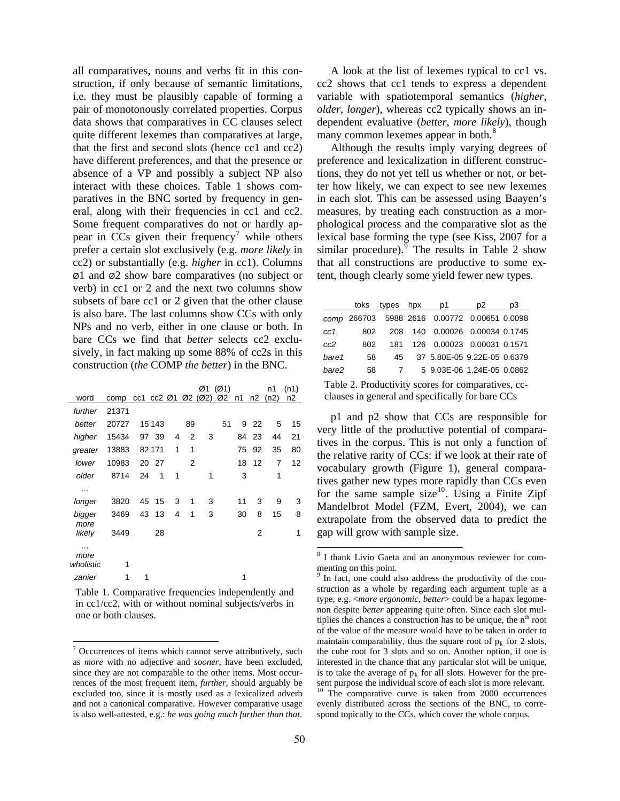all comparatives, nouns and verbs fit in this construction, if only because of semantic limitations, i.e. they must be plausibly capable of forming a pair of monotonously correlated properties. Corpus data shows that comparatives in CC clauses select quite different lexemes than comparatives at large, that the first and second slots (hence cc1 and cc2) have different preferences, and that the presence or absence of a VP and possibly a subject NP also interact with these choices. Table 1 shows comparatives in the BNC sorted by frequency in general, along with their frequencies in cc1 and cc2. Some frequent comparatives do not or hardly appear in  $\overline{CCs}$  given their frequency<sup>7</sup> while others prefer a certain slot exclusively (e.g. *more likely* in cc2) or substantially (e.g. *higher* in cc1). Columns Ø1 and Ø2 show bare comparatives (no subject or verb) in cc1 or 2 and the next two columns show subsets of bare cc1 or 2 given that the other clause is also bare. The last columns show CCs with only NPs and no verb, either in one clause or both. In bare CCs we find that *better* selects cc2 exclusively, in fact making up some 88% of cc2s in this construction (*the* COMP *the better*) in the BNC.

|                |                               |    |                          |   |    |   | Ø1 (Ø1) |    |       | n1      | (n1) |
|----------------|-------------------------------|----|--------------------------|---|----|---|---------|----|-------|---------|------|
| word           | comp cc1 cc2 Ø1 Ø2 (Ø2) Ø2 n1 |    |                          |   |    |   |         |    |       | n2 (n2) | n2   |
| further        | 21371                         |    |                          |   |    |   |         |    |       |         |      |
| better         | 20727                         |    | 15 143                   |   | 89 |   | 51      |    | 9 22  | 5       | 15   |
| higher         | 15434                         |    | 97 39                    | 4 | 2  | 3 |         |    | 84 23 | 44      | 21   |
| greater        | 13883                         |    | 82 171                   | 1 | 1  |   |         |    | 75 92 | 35      | 80   |
| lower          | 10983                         |    | 20 27                    |   | 2  |   |         |    | 18 12 | 7       | 12   |
| older          | 8714                          | 24 | $\overline{\phantom{1}}$ | 1 |    | 1 |         | 3  |       | 1       |      |
| .              |                               |    |                          |   |    |   |         |    |       |         |      |
| longer         | 3820                          | 45 | - 15                     | 3 | 1  | 3 |         | 11 | 3     | 9       | 3    |
| bigger         | 3469                          |    | 43 13                    | 4 | 1  | 3 |         | 30 | 8     | 15      | 8    |
| more<br>likely | 3449                          |    | 28                       |   |    |   |         |    | 2     |         | 1    |
| more           |                               |    |                          |   |    |   |         |    |       |         |      |
| wholistic      | 1                             |    |                          |   |    |   |         |    |       |         |      |
| zanier         | 1                             | 1  |                          |   |    |   |         | 1  |       |         |      |
|                |                               |    |                          |   |    |   |         |    |       |         |      |

Table 1. Comparative frequencies independently and in cc1/cc2, with or without nominal subjects/verbs in one or both clauses.

 $\overline{a}$ 

A look at the list of lexemes typical to cc1 vs. cc2 shows that cc1 tends to express a dependent variable with spatiotemporal semantics (*higher*, *older*, *longer*), whereas cc2 typically shows an independent evaluative (*better*, *more likely*), though many common lexemes appear in both.<sup>8</sup>

Although the results imply varying degrees of preference and lexicalization in different constructions, they do not yet tell us whether or not, or better how likely, we can expect to see new lexemes in each slot. This can be assessed using Baayen's measures, by treating each construction as a morphological process and the comparative slot as the lexical base forming the type (see Kiss, 2007 for a similar procedure). The results in Table 2 show that all constructions are productive to some extent, though clearly some yield fewer new types.

|                                                    | toks | types hpx      |  | p1                                           | p2 | pЗ |  |
|----------------------------------------------------|------|----------------|--|----------------------------------------------|----|----|--|
|                                                    |      |                |  | comp 266703 5988 2616 0.00772 0.00651 0.0098 |    |    |  |
| cc1                                                | 802  | 208            |  | 140 0.00026 0.00034 0.1745                   |    |    |  |
| cc2                                                | 802  | 181            |  | 126 0.00023 0.00031 0.1571                   |    |    |  |
| bare1                                              | 58   | 45             |  | 37 5.80E-05 9.22E-05 0.6379                  |    |    |  |
| bare2                                              | 58   | $\overline{7}$ |  | 5 9.03E-06 1.24E-05 0.0862                   |    |    |  |
| Table 2. Productivity scores for comparatives, cc- |      |                |  |                                              |    |    |  |

clauses in general and specifically for bare CCs

p1 and p2 show that CCs are responsible for very little of the productive potential of comparatives in the corpus. This is not only a function of the relative rarity of CCs: if we look at their rate of vocabulary growth (Figure 1), general comparatives gather new types more rapidly than CCs even for the same sample size<sup>10</sup>. Using a Finite Zipf Mandelbrot Model (FZM, Evert, 2004), we can extrapolate from the observed data to predict the gap will grow with sample size.

evenly distributed across the sections of the BNC, to correspond topically to the CCs, which cover the whole corpus.

 $7$  Occurrences of items which cannot serve attributively, such as *more* with no adjective and *sooner*, have been excluded, since they are not comparable to the other items. Most occurrences of the most frequent item, *further*, should arguably be excluded too, since it is mostly used as a lexicalized adverb and not a canonical comparative. However comparative usage is also well-attested, e.g.: *he was going much further than that*.

 8 I thank Livio Gaeta and an anonymous reviewer for commenting on this point.

<sup>9</sup> In fact, one could also address the productivity of the construction as a whole by regarding each argument tuple as a type, e.g. <*more ergonomic*, *better*> could be a hapax legomenon despite *better* appearing quite often. Since each slot multiplies the chances a construction has to be unique, the  $n<sup>th</sup>$  root of the value of the measure would have to be taken in order to maintain comparability, thus the square root of  $p_k$  for 2 slots, the cube root for 3 slots and so on. Another option, if one is interested in the chance that any particular slot will be unique, is to take the average of  $p_k$  for all slots. However for the present purpose the individual score of each slot is more relevant. <sup>10</sup> The comparative curve is taken from 2000 occurrences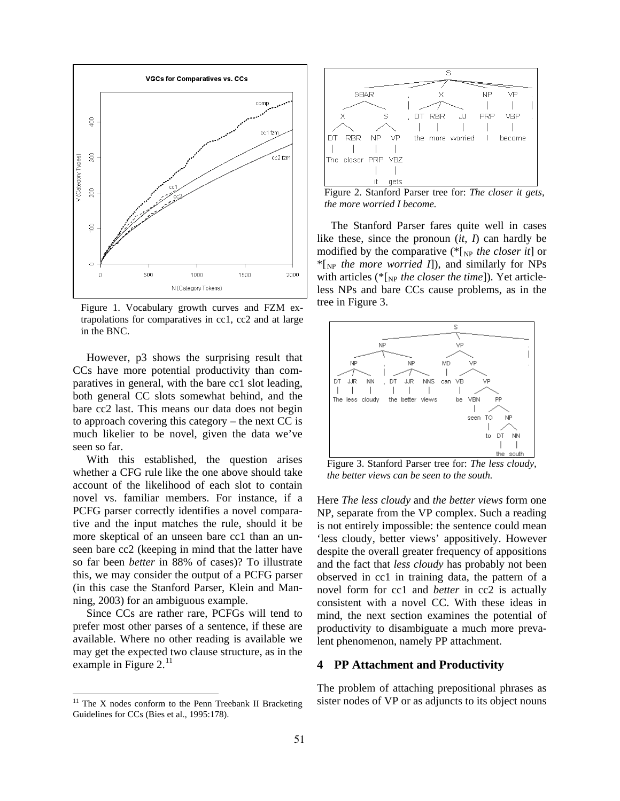

Figure 1. Vocabulary growth curves and FZM extrapolations for comparatives in cc1, cc2 and at large in the BNC.

However, p3 shows the surprising result that CCs have more potential productivity than comparatives in general, with the bare cc1 slot leading, both general CC slots somewhat behind, and the bare cc2 last. This means our data does not begin to approach covering this category – the next CC is much likelier to be novel, given the data we've seen so far.

With this established, the question arises whether a CFG rule like the one above should take account of the likelihood of each slot to contain novel vs. familiar members. For instance, if a PCFG parser correctly identifies a novel comparative and the input matches the rule, should it be more skeptical of an unseen bare cc1 than an unseen bare cc2 (keeping in mind that the latter have so far been *better* in 88% of cases)? To illustrate this, we may consider the output of a PCFG parser (in this case the Stanford Parser, Klein and Manning, 2003) for an ambiguous example.

Since CCs are rather rare, PCFGs will tend to prefer most other parses of a sentence, if these are available. Where no other reading is available we may get the expected two clause structure, as in the example in Figure  $2.^{11}$ 

 $\overline{a}$ 



Figure 2. Stanford Parser tree for: *The closer it gets, the more worried I become.* 

The Stanford Parser fares quite well in cases like these, since the pronoun (*it*, *I*) can hardly be modified by the comparative (\*[NP *the closer it*] or \*[NP *the more worried I*]), and similarly for NPs with articles (\*[<sub>NP</sub> the closer the time]). Yet articleless NPs and bare CCs cause problems, as in the tree in Figure 3.



Figure 3. Stanford Parser tree for: *The less cloudy, the better views can be seen to the south.*

Here *The less cloudy* and *the better views* form one NP, separate from the VP complex. Such a reading is not entirely impossible: the sentence could mean 'less cloudy, better views' appositively. However despite the overall greater frequency of appositions and the fact that *less cloudy* has probably not been observed in cc1 in training data, the pattern of a novel form for cc1 and *better* in cc2 is actually consistent with a novel CC. With these ideas in mind, the next section examines the potential of productivity to disambiguate a much more prevalent phenomenon, namely PP attachment.

### **4 PP Attachment and Productivity**

The problem of attaching prepositional phrases as sister nodes of VP or as adjuncts to its object nouns

 $11$  The X nodes conform to the Penn Treebank II Bracketing Guidelines for CCs (Bies et al., 1995:178).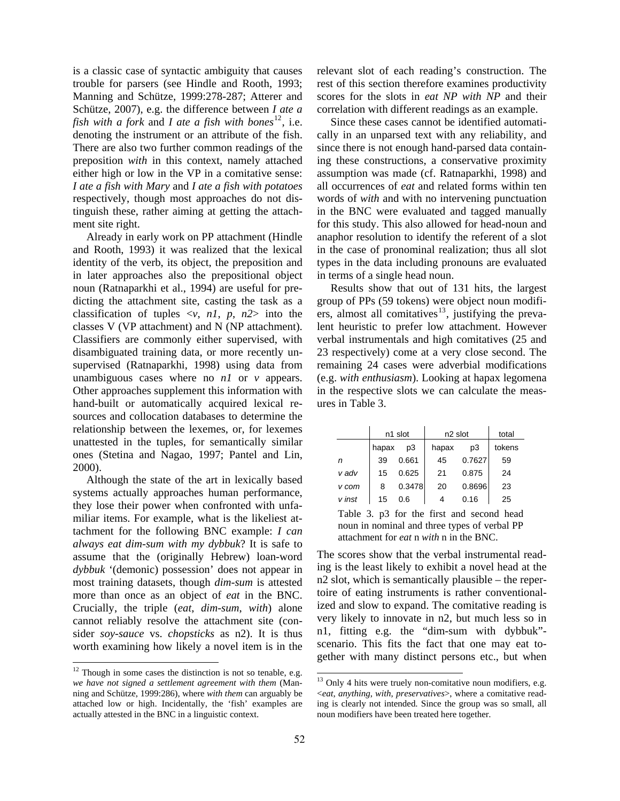is a classic case of syntactic ambiguity that causes trouble for parsers (see Hindle and Rooth, 1993; Manning and Schütze, 1999:278-287; Atterer and Schütze, 2007), e.g. the difference between *I ate a fish with a fork and I ate a fish with bones*<sup>12</sup>, i.e. denoting the instrument or an attribute of the fish. There are also two further common readings of the preposition *with* in this context, namely attached either high or low in the VP in a comitative sense: *I ate a fish with Mary* and *I ate a fish with potatoes*  respectively, though most approaches do not distinguish these, rather aiming at getting the attachment site right.

Already in early work on PP attachment (Hindle and Rooth, 1993) it was realized that the lexical identity of the verb, its object, the preposition and in later approaches also the prepositional object noun (Ratnaparkhi et al., 1994) are useful for predicting the attachment site, casting the task as a classification of tuples  $\langle v, n \rangle$ ,  $p, n \geq 1$  into the classes V (VP attachment) and N (NP attachment). Classifiers are commonly either supervised, with disambiguated training data, or more recently unsupervised (Ratnaparkhi, 1998) using data from unambiguous cases where no *n1* or *v* appears. Other approaches supplement this information with hand-built or automatically acquired lexical resources and collocation databases to determine the relationship between the lexemes, or, for lexemes unattested in the tuples, for semantically similar ones (Stetina and Nagao, 1997; Pantel and Lin, 2000).

Although the state of the art in lexically based systems actually approaches human performance, they lose their power when confronted with unfamiliar items. For example, what is the likeliest attachment for the following BNC example: *I can always eat dim-sum with my dybbuk*? It is safe to assume that the (originally Hebrew) loan-word *dybbuk* '(demonic) possession' does not appear in most training datasets, though *dim-sum* is attested more than once as an object of *eat* in the BNC. Crucially, the triple (*eat*, *dim-sum*, *with*) alone cannot reliably resolve the attachment site (consider *soy-sauce* vs. *chopsticks* as n2). It is thus worth examining how likely a novel item is in the

 $\overline{a}$ 

relevant slot of each reading's construction. The rest of this section therefore examines productivity scores for the slots in *eat NP with NP* and their correlation with different readings as an example.

Since these cases cannot be identified automatically in an unparsed text with any reliability, and since there is not enough hand-parsed data containing these constructions, a conservative proximity assumption was made (cf. Ratnaparkhi, 1998) and all occurrences of *eat* and related forms within ten words of *with* and with no intervening punctuation in the BNC were evaluated and tagged manually for this study. This also allowed for head-noun and anaphor resolution to identify the referent of a slot in the case of pronominal realization; thus all slot types in the data including pronouns are evaluated in terms of a single head noun.

Results show that out of 131 hits, the largest group of PPs (59 tokens) were object noun modifiers, almost all comitatives $13$ , justifying the prevalent heuristic to prefer low attachment. However verbal instrumentals and high comitatives (25 and 23 respectively) come at a very close second. The remaining 24 cases were adverbial modifications (e.g. *with enthusiasm*). Looking at hapax legomena in the respective slots we can calculate the measures in Table 3.

|        |       | n1 slot | n <sub>2</sub> slot | total  |        |
|--------|-------|---------|---------------------|--------|--------|
|        | hapax | p3      | hapax               | p3     | tokens |
| n      | 39    | 0.661   | 45                  | 0.7627 | 59     |
| v adv  | 15    | 0.625   | 21                  | 0.875  | 24     |
| v com  | 8     | 0.3478  | 20                  | 0.8696 | 23     |
| v inst | 15    | 0.6     | 4                   | 0.16   | 25     |

Table 3. p3 for the first and second head noun in nominal and three types of verbal PP attachment for *eat* n *with* n in the BNC.

The scores show that the verbal instrumental reading is the least likely to exhibit a novel head at the n2 slot, which is semantically plausible – the repertoire of eating instruments is rather conventionalized and slow to expand. The comitative reading is very likely to innovate in n2, but much less so in n1, fitting e.g. the "dim-sum with dybbuk" scenario. This fits the fact that one may eat together with many distinct persons etc., but when

 $12$  Though in some cases the distinction is not so tenable, e.g. *we have not signed a settlement agreement with them* (Manning and Schütze, 1999:286), where *with them* can arguably be attached low or high. Incidentally, the 'fish' examples are actually attested in the BNC in a linguistic context.

 $13$  Only 4 hits were truely non-comitative noun modifiers, e.g. <*eat*, *anything*, *with*, *preservatives*>, where a comitative reading is clearly not intended. Since the group was so small, all noun modifiers have been treated here together.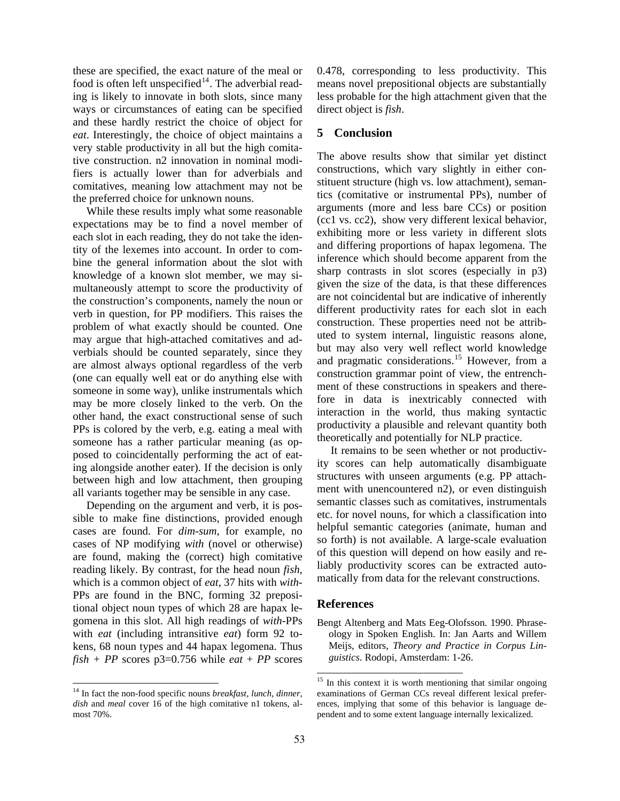these are specified, the exact nature of the meal or food is often left unspecified<sup>14</sup>. The adverbial reading is likely to innovate in both slots, since many ways or circumstances of eating can be specified and these hardly restrict the choice of object for *eat*. Interestingly, the choice of object maintains a very stable productivity in all but the high comitative construction. n2 innovation in nominal modifiers is actually lower than for adverbials and comitatives, meaning low attachment may not be the preferred choice for unknown nouns.

While these results imply what some reasonable expectations may be to find a novel member of each slot in each reading, they do not take the identity of the lexemes into account. In order to combine the general information about the slot with knowledge of a known slot member, we may simultaneously attempt to score the productivity of the construction's components, namely the noun or verb in question, for PP modifiers. This raises the problem of what exactly should be counted. One may argue that high-attached comitatives and adverbials should be counted separately, since they are almost always optional regardless of the verb (one can equally well eat or do anything else with someone in some way), unlike instrumentals which may be more closely linked to the verb. On the other hand, the exact constructional sense of such PPs is colored by the verb, e.g. eating a meal with someone has a rather particular meaning (as opposed to coincidentally performing the act of eating alongside another eater). If the decision is only between high and low attachment, then grouping all variants together may be sensible in any case.

Depending on the argument and verb, it is possible to make fine distinctions, provided enough cases are found. For *dim-sum*, for example, no cases of NP modifying *with* (novel or otherwise) are found, making the (correct) high comitative reading likely. By contrast, for the head noun *fish*, which is a common object of *eat*, 37 hits with *with*-PPs are found in the BNC, forming 32 prepositional object noun types of which 28 are hapax legomena in this slot. All high readings of *with-*PPs with *eat* (including intransitive *eat*) form 92 tokens, 68 noun types and 44 hapax legomena. Thus  $fish + PP$  scores  $p3=0.756$  while *eat* + *PP* scores

 $\overline{a}$ 

0.478, corresponding to less productivity. This means novel prepositional objects are substantially less probable for the high attachment given that the direct object is *fish*.

#### **5 Conclusion**

The above results show that similar yet distinct constructions, which vary slightly in either constituent structure (high vs. low attachment), semantics (comitative or instrumental PPs), number of arguments (more and less bare CCs) or position (cc1 vs. cc2), show very different lexical behavior, exhibiting more or less variety in different slots and differing proportions of hapax legomena. The inference which should become apparent from the sharp contrasts in slot scores (especially in p3) given the size of the data, is that these differences are not coincidental but are indicative of inherently different productivity rates for each slot in each construction. These properties need not be attributed to system internal, linguistic reasons alone, but may also very well reflect world knowledge and pragmatic considerations.15 However, from a construction grammar point of view, the entrenchment of these constructions in speakers and therefore in data is inextricably connected with interaction in the world, thus making syntactic productivity a plausible and relevant quantity both theoretically and potentially for NLP practice.

It remains to be seen whether or not productivity scores can help automatically disambiguate structures with unseen arguments (e.g. PP attachment with unencountered n2), or even distinguish semantic classes such as comitatives, instrumentals etc. for novel nouns, for which a classification into helpful semantic categories (animate, human and so forth) is not available. A large-scale evaluation of this question will depend on how easily and reliably productivity scores can be extracted automatically from data for the relevant constructions.

#### **References**

Bengt Altenberg and Mats Eeg-Olofsson. 1990. Phraseology in Spoken English. In: Jan Aarts and Willem Meijs, editors, *Theory and Practice in Corpus Linguistics*. Rodopi, Amsterdam: 1-26.

 $\overline{a}$ 

<sup>14</sup> In fact the non-food specific nouns *breakfast*, *lunch*, *dinner*, *dish* and *meal* cover 16 of the high comitative n1 tokens, almost 70%.

<sup>&</sup>lt;sup>15</sup> In this context it is worth mentioning that similar ongoing examinations of German CCs reveal different lexical preferences, implying that some of this behavior is language dependent and to some extent language internally lexicalized.